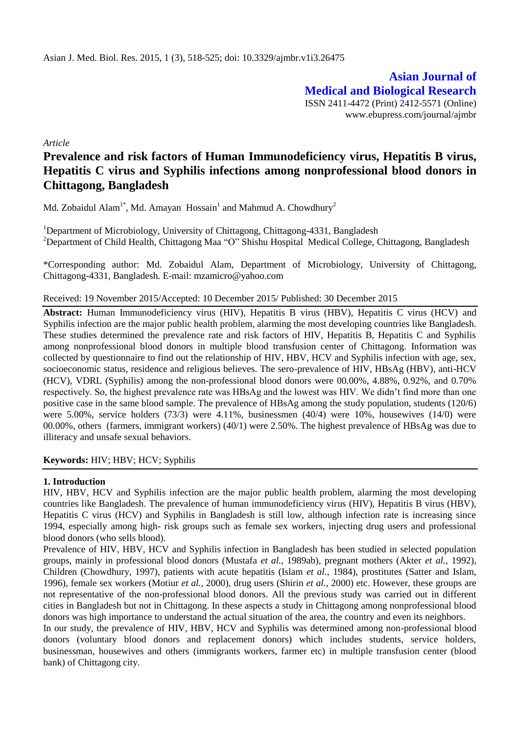**Asian Journal of Medical and Biological Research** ISSN 2411-4472 (Print) 2412-5571 (Online) www.ebupress.com/journal/ajmbr

*Article*

# **Prevalence and risk factors of Human Immunodeficiency virus, Hepatitis B virus, Hepatitis C virus and Syphilis infections among nonprofessional blood donors in Chittagong, Bangladesh**

Md. Zobaidul Alam<sup>1\*</sup>, Md. Amayan Hossain<sup>1</sup> and Mahmud A. Chowdhury<sup>2</sup>

<sup>1</sup>Department of Microbiology, University of Chittagong, Chittagong-4331, Bangladesh <sup>2</sup>Department of Child Health, Chittagong Maa "O" Shishu Hospital Medical College, Chittagong, Bangladesh

\*Corresponding author: Md. Zobaidul Alam, Department of Microbiology, University of Chittagong, Chittagong-4331, Bangladesh. E-mail: mzamicro@yahoo.com

## Received: 19 November 2015/Accepted: 10 December 2015/ Published: 30 December 2015

**Abstract:** Human Immunodeficiency virus (HIV), Hepatitis B virus (HBV), Hepatitis C virus (HCV) and Syphilis infection are the major public health problem, alarming the most developing countries like Bangladesh. These studies determined the prevalence rate and risk factors of HIV, Hepatitis B, Hepatitis C and Syphilis among nonprofessional blood donors in multiple blood transfusion center of Chittagong. Information was collected by questionnaire to find out the relationship of HIV, HBV, HCV and Syphilis infection with age, sex, socioeconomic status, residence and religious believes. The sero-prevalence of HIV, HBsAg (HBV), anti-HCV (HCV), VDRL (Syphilis) among the non-professional blood donors were 00.00%, 4.88%, 0.92%, and 0.70% respectively. So, the highest prevalence rate was HBsAg and the lowest was HIV. We didn't find more than one positive case in the same blood sample. The prevalence of HBsAg among the study population, students (120/6) were 5.00%, service holders (73/3) were 4.11%, businessmen (40/4) were 10%, housewives (14/0) were 00.00%, others (farmers, immigrant workers) (40/1) were 2.50%. The highest prevalence of HBsAg was due to illiteracy and unsafe sexual behaviors.

## **Keywords:** HIV; HBV; HCV; Syphilis

#### **1. Introduction**

HIV, HBV, HCV and Syphilis infection are the major public health problem, alarming the most developing countries like Bangladesh. The prevalence of human immunodeficiency virus (HIV), Hepatitis B virus (HBV), Hepatitis C virus (HCV) and Syphilis in Bangladesh is still low, although infection rate is increasing since 1994, especially among high- risk groups such as female sex workers, injecting drug users and professional blood donors (who sells blood).

Prevalence of HIV, HBV, HCV and Syphilis infection in Bangladesh has been studied in selected population groups, mainly in professional blood donors (Mustafa *et al.,* 1989ab), pregnant mothers (Akter *et al.,* 1992), Children (Chowdhury, 1997), patients with acute hepatitis (Islam *et al.,* 1984), prostitutes (Satter and Islam, 1996), female sex workers (Motiur *et al.,* 2000), drug users (Shirin *et al.,* 2000) etc. However, these groups are not representative of the non-professional blood donors. All the previous study was carried out in different cities in Bangladesh but not in Chittagong. In these aspects a study in Chittagong among nonprofessional blood donors was high importance to understand the actual situation of the area, the country and even its neighbors.

In our study, the prevalence of HIV, HBV, HCV and Syphilis was determined among non-professional blood donors (voluntary blood donors and replacement donors) which includes students, service holders, businessman, housewives and others (immigrants workers, farmer etc) in multiple transfusion center (blood bank) of Chittagong city.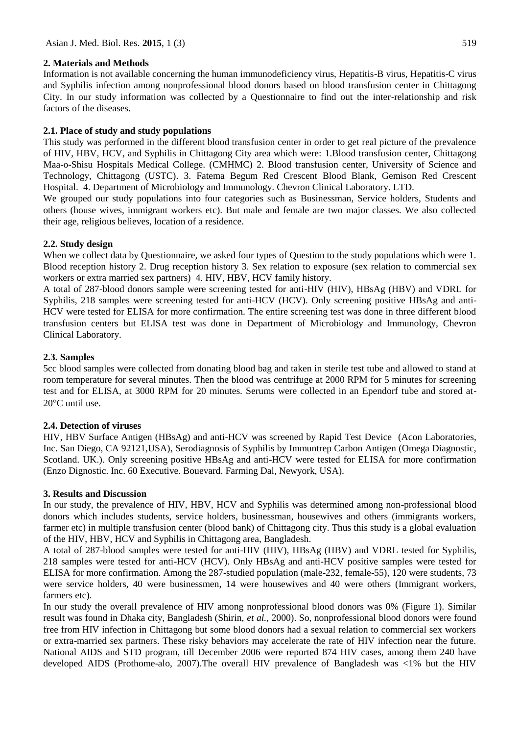# **2. Materials and Methods**

Information is not available concerning the human immunodeficiency virus, Hepatitis-B virus, Hepatitis-C virus and Syphilis infection among nonprofessional blood donors based on blood transfusion center in Chittagong City. In our study information was collected by a Questionnaire to find out the inter-relationship and risk factors of the diseases.

# **2.1. Place of study and study populations**

This study was performed in the different blood transfusion center in order to get real picture of the prevalence of HIV, HBV, HCV, and Syphilis in Chittagong City area which were: 1.Blood transfusion center, Chittagong Maa-o-Shisu Hospitals Medical College. (CMHMC) 2. Blood transfusion center, University of Science and Technology, Chittagong (USTC). 3. Fatema Begum Red Crescent Blood Blank, Gemison Red Crescent Hospital. 4. Department of Microbiology and Immunology. Chevron Clinical Laboratory. LTD.

We grouped our study populations into four categories such as Businessman, Service holders, Students and others (house wives, immigrant workers etc). But male and female are two major classes. We also collected their age, religious believes, location of a residence.

# **2.2. Study design**

When we collect data by Questionnaire, we asked four types of Question to the study populations which were 1. Blood reception history 2. Drug reception history 3. Sex relation to exposure (sex relation to commercial sex workers or extra married sex partners) 4. HIV, HBV, HCV family history.

A total of 287-blood donors sample were screening tested for anti-HIV (HIV), HBsAg (HBV) and VDRL for Syphilis, 218 samples were screening tested for anti-HCV (HCV). Only screening positive HBsAg and anti-HCV were tested for ELISA for more confirmation. The entire screening test was done in three different blood transfusion centers but ELISA test was done in Department of Microbiology and Immunology, Chevron Clinical Laboratory.

# **2.3. Samples**

5cc blood samples were collected from donating blood bag and taken in sterile test tube and allowed to stand at room temperature for several minutes. Then the blood was centrifuge at 2000 RPM for 5 minutes for screening test and for ELISA, at 3000 RPM for 20 minutes. Serums were collected in an Ependorf tube and stored at- $20^{\circ}$ C until use.

# **2.4. Detection of viruses**

HIV, HBV Surface Antigen (HBsAg) and anti-HCV was screened by Rapid Test Device (Acon Laboratories, Inc. San Diego, CA 92121,USA), Serodiagnosis of Syphilis by Immuntrep Carbon Antigen (Omega Diagnostic, Scotland. UK.). Only screening positive HBsAg and anti-HCV were tested for ELISA for more confirmation (Enzo Dignostic. Inc. 60 Executive. Bouevard. Farming Dal, Newyork, USA).

## **3. Results and Discussion**

In our study, the prevalence of HIV, HBV, HCV and Syphilis was determined among non-professional blood donors which includes students, service holders, businessman, housewives and others (immigrants workers, farmer etc) in multiple transfusion center (blood bank) of Chittagong city. Thus this study is a global evaluation of the HIV, HBV, HCV and Syphilis in Chittagong area, Bangladesh.

A total of 287-blood samples were tested for anti-HIV (HIV), HBsAg (HBV) and VDRL tested for Syphilis, 218 samples were tested for anti-HCV (HCV). Only HBsAg and anti-HCV positive samples were tested for ELISA for more confirmation. Among the 287-studied population (male-232, female-55), 120 were students, 73 were service holders, 40 were businessmen, 14 were housewives and 40 were others (Immigrant workers, farmers etc).

In our study the overall prevalence of HIV among nonprofessional blood donors was 0% (Figure 1). Similar result was found in Dhaka city, Bangladesh (Shirin, *et al.,* 2000). So, nonprofessional blood donors were found free from HIV infection in Chittagong but some blood donors had a sexual relation to commercial sex workers or extra-married sex partners. These risky behaviors may accelerate the rate of HIV infection near the future. National AIDS and STD program, till December 2006 were reported 874 HIV cases, among them 240 have developed AIDS (Prothome-alo, 2007).The overall HIV prevalence of Bangladesh was <1% but the HIV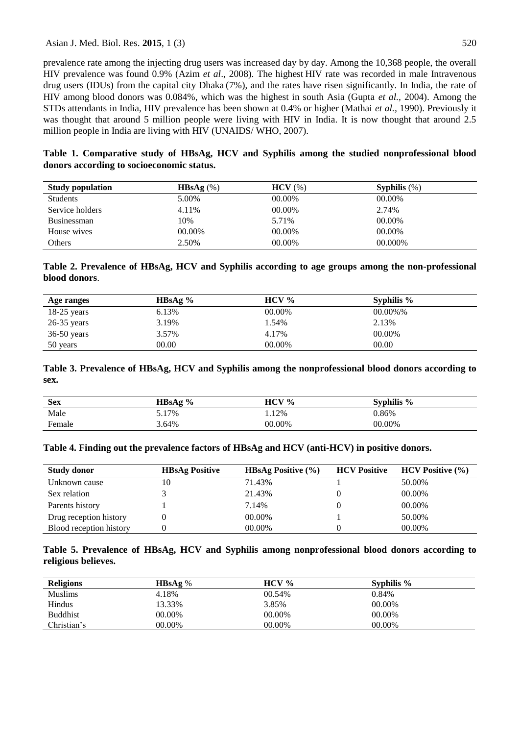## Asian J. Med. Biol. Res. 2015, 1 (3) 520

prevalence rate among the injecting drug users was increased day by day. Among the 10,368 people, the overall HIV prevalence was found 0.9% (Azim *et al*., 2008). The highest HIV rate was recorded in male Intravenous drug users (IDUs) from the capital city Dhaka (7%), and the rates have risen significantly. In India, the rate of HIV among blood donors was 0.084%, which was the highest in south Asia (Gupta *et al.,* 2004). Among the STDs attendants in India, HIV prevalence has been shown at 0.4% or higher (Mathai *et al.,* 1990). Previously it was thought that around 5 million people were living with HIV in India. It is now thought that around 2.5 million people in India are living with HIV (UNAIDS/ WHO, 2007).

**Table 1. Comparative study of HBsAg, HCV and Syphilis among the studied nonprofessional blood donors according to socioeconomic status.**

| <b>Study population</b> | HBsAg $(\%)$ | $HCV$ $(\%)$ | Syphilis $(\%)$ |
|-------------------------|--------------|--------------|-----------------|
| <b>Students</b>         | 5.00%        | 00.00%       | 00.00%          |
| Service holders         | 4.11%        | 00.00%       | 2.74%           |
| <b>Businessman</b>      | 10%          | 5.71%        | 00.00%          |
| House wives             | 00.00%       | 00.00%       | 00.00%          |
| Others                  | 2.50%        | 00.00%       | 00.000\%        |

**Table 2. Prevalence of HBsAg, HCV and Syphilis according to age groups among the non-professional blood donors**.

| Age ranges    | HBsAg $\%$ | $HCV\%$ | Syphilis $%$ |
|---------------|------------|---------|--------------|
| $18-25$ years | 6.13%      | 00.00%  | $00.00\%$ %  |
| $26-35$ years | 3.19%      | 1.54%   | 2.13%        |
| $36-50$ years | 3.57%      | 4.17%   | 00.00%       |
| 50 years      | 00.00      | 00.00%  | 00.00        |

# **Table 3. Prevalence of HBsAg, HCV and Syphilis among the nonprofessional blood donors according to sex.**

| <b>Sex</b> | HBsAg % | $HCV\%$ | Syphilis $%$ |
|------------|---------|---------|--------------|
| Male       | 5.17%   | .12%    | 0.86%        |
| Female     | 3.64%   | 00.00%  | 00.00%       |

#### **Table 4. Finding out the prevalence factors of HBsAg and HCV (anti-HCV) in positive donors.**

| <b>Study donor</b>      | <b>HBsAg Positive</b> | <b>HBsAg Positive</b> $(\% )$ | <b>HCV Positive</b> | $HCV$ Positive $(\% )$ |
|-------------------------|-----------------------|-------------------------------|---------------------|------------------------|
| Unknown cause           | 10                    | 71.43%                        |                     | 50.00%                 |
| Sex relation            |                       | 21.43%                        |                     | 00.00%                 |
| Parents history         |                       | 7.14%                         |                     | 00.00%                 |
| Drug reception history  |                       | 00.00%                        |                     | 50.00%                 |
| Blood reception history |                       | 00.00%                        |                     | 00.00%                 |

# **Table 5. Prevalence of HBsAg, HCV and Syphilis among nonprofessional blood donors according to religious believes.**

| <b>Religions</b> | <b>HBsAg</b> $\%$ | $HCV\%$ | Syphilis % |  |
|------------------|-------------------|---------|------------|--|
| <b>Muslims</b>   | 4.18%             | 00.54%  | 0.84%      |  |
| Hindus           | 13.33%            | 3.85%   | 00.00%     |  |
| <b>Buddhist</b>  | 00.00%            | 00.00%  | 00.00%     |  |
| Christian's      | 00.00%            | 00.00%  | 00.00%     |  |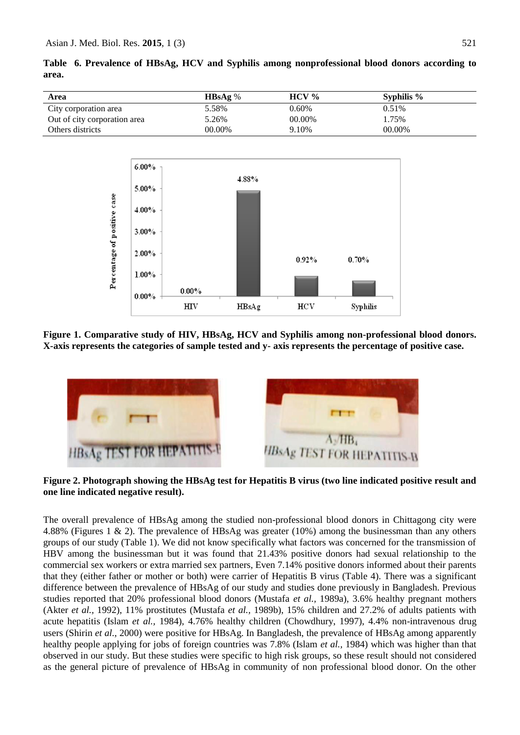| Area                         | HBSAg% | $HCV\%$ | Syphilis % |
|------------------------------|--------|---------|------------|
| City corporation area        | 5.58%  | 0.60%   | $0.51\%$   |
| Out of city corporation area | 5.26%  | 00.00%  | 1.75%      |
| Others districts             | 00.00% | 9.10%   | 00.00%     |





**Figure 1. Comparative study of HIV, HBsAg, HCV and Syphilis among non-professional blood donors. X-axis represents the categories of sample tested and y- axis represents the percentage of positive case.** 



**Figure 2. Photograph showing the HBsAg test for Hepatitis B virus (two line indicated positive result and one line indicated negative result).**

The overall prevalence of HBsAg among the studied non-professional blood donors in Chittagong city were 4.88% (Figures 1 & 2). The prevalence of HBsAg was greater (10%) among the businessman than any others groups of our study (Table 1). We did not know specifically what factors was concerned for the transmission of HBV among the businessman but it was found that 21.43% positive donors had sexual relationship to the commercial sex workers or extra married sex partners, Even 7.14% positive donors informed about their parents that they (either father or mother or both) were carrier of Hepatitis B virus (Table 4). There was a significant difference between the prevalence of HBsAg of our study and studies done previously in Bangladesh. Previous studies reported that 20% professional blood donors (Mustafa *et al.,* 1989a), 3.6% healthy pregnant mothers (Akter *et al.,* 1992), 11% prostitutes (Mustafa *et al.,* 1989b), 15% children and 27.2% of adults patients with acute hepatitis (Islam *et al.,* 1984), 4.76% healthy children (Chowdhury, 1997), 4.4% non-intravenous drug users (Shirin *et al.,* 2000) were positive for HBsAg. In Bangladesh, the prevalence of HBsAg among apparently healthy people applying for jobs of foreign countries was 7.8% (Islam *et al.,* 1984) which was higher than that observed in our study. But these studies were specific to high risk groups, so these result should not considered as the general picture of prevalence of HBsAg in community of non professional blood donor. On the other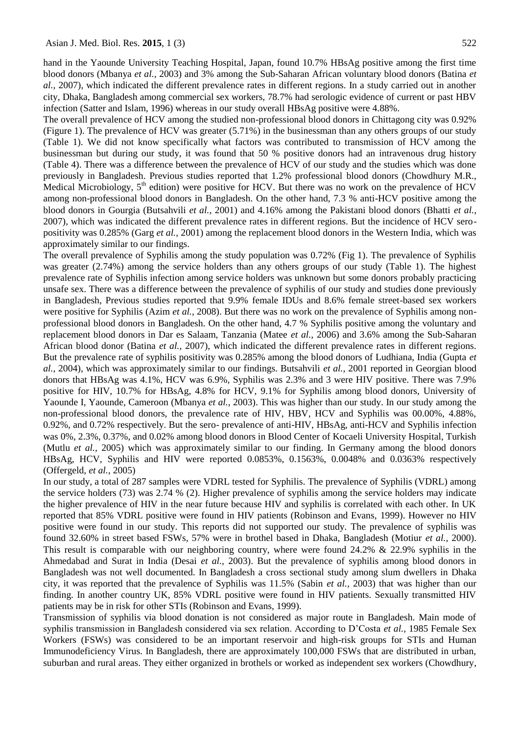hand in the Yaounde University Teaching Hospital, Japan, found 10.7% HBsAg positive among the first time blood donors (Mbanya *et al.,* 2003) and 3% among the Sub-Saharan African voluntary blood donors (Batina *et al.,* 2007), which indicated the different prevalence rates in different regions. In a study carried out in another city, Dhaka, Bangladesh among commercial sex workers, 78.7% had serologic evidence of current or past HBV infection (Satter and Islam, 1996) whereas in our study overall HBsAg positive were 4.88%.

The overall prevalence of HCV among the studied non-professional blood donors in Chittagong city was 0.92% (Figure 1). The prevalence of HCV was greater (5.71%) in the businessman than any others groups of our study (Table 1). We did not know specifically what factors was contributed to transmission of HCV among the businessman but during our study, it was found that 50 % positive donors had an intravenous drug history (Table 4). There was a difference between the prevalence of HCV of our study and the studies which was done previously in Bangladesh. Previous studies reported that 1.2% professional blood donors (Chowdhury M.R., Medical Microbiology,  $5<sup>th</sup>$  edition) were positive for HCV. But there was no work on the prevalence of HCV among non-professional blood donors in Bangladesh. On the other hand, 7.3 % anti-HCV positive among the blood donors in Gourgia (Butsahvili *et al.,* 2001) and 4.16% among the Pakistani blood donors (Bhatti *et al.,* 2007), which was indicated the different prevalence rates in different regions. But the incidence of HCV seropositivity was 0.285% (Garg *et al.,* 2001) among the replacement blood donors in the Western India, which was approximately similar to our findings.

The overall prevalence of Syphilis among the study population was 0.72% (Fig 1). The prevalence of Syphilis was greater (2.74%) among the service holders than any others groups of our study (Table 1). The highest prevalence rate of Syphilis infection among service holders was unknown but some donors probably practicing unsafe sex. There was a difference between the prevalence of syphilis of our study and studies done previously in Bangladesh, Previous studies reported that 9.9% female IDUs and 8.6% female street-based sex workers were positive for Syphilis (Azim *et al.,* 2008). But there was no work on the prevalence of Syphilis among nonprofessional blood donors in Bangladesh. On the other hand, 4.7 % Syphilis positive among the voluntary and replacement blood donors in Dar es Salaam, Tanzania (Matee *et al.,* 2006) and 3.6% among the Sub-Saharan African blood donor (Batina *et al.,* 2007), which indicated the different prevalence rates in different regions. But the prevalence rate of syphilis positivity was 0.285% among the blood donors of Ludhiana, India (Gupta *et al.*, 2004), which was approximately similar to our findings. Butsahvili *et al.,* 2001 reported in Georgian blood donors that HBsAg was 4.1%, HCV was 6.9%, Syphilis was 2.3% and 3 were HIV positive. There was 7.9% positive for HIV, 10.7% for HBsAg, 4.8% for HCV, 9.1% for Syphilis among blood donors, University of Yaounde I, Yaounde, Cameroon (Mbanya *et al.,* 2003). This was higher than our study. In our study among the non-professional blood donors, the prevalence rate of HIV, HBV, HCV and Syphilis was 00.00%, 4.88%, 0.92%, and 0.72% respectively. But the sero- prevalence of anti-HIV, HBsAg, anti-HCV and Syphilis infection was 0%, 2.3%, 0.37%, and 0.02% among blood donors in Blood Center of Kocaeli University Hospital, Turkish (Mutlu *et al.,* 2005) which was approximately similar to our finding. In Germany among the blood donors HBsAg, HCV, Syphilis and HIV were reported 0.0853%, 0.1563%, 0.0048% and 0.0363% respectively (Offergeld, *et al.,* 2005)

In our study, a total of 287 samples were VDRL tested for Syphilis. The prevalence of Syphilis (VDRL) among the service holders (73) was 2.74 % (2). Higher prevalence of syphilis among the service holders may indicate the higher prevalence of HIV in the near future because HIV and syphilis is correlated with each other. In UK reported that 85% VDRL positive were found in HIV patients (Robinson and Evans, 1999). However no HIV positive were found in our study. This reports did not supported our study. The prevalence of syphilis was found 32.60% in street based FSWs, 57% were in brothel based in Dhaka, Bangladesh (Motiur *et al.,* 2000). This result is comparable with our neighboring country, where were found 24.2% & 22.9% syphilis in the Ahmedabad and Surat in India (Desai *et al.,* 2003). But the prevalence of syphilis among blood donors in Bangladesh was not well documented. In Bangladesh a cross sectional study among slum dwellers in Dhaka city, it was reported that the prevalence of Syphilis was 11.5% (Sabin *et al.,* 2003) that was higher than our finding. In another country UK, 85% VDRL positive were found in HIV patients. Sexually transmitted HIV patients may be in risk for other STIs (Robinson and Evans, 1999).

Transmission of syphilis via blood donation is not considered as major route in Bangladesh. Main mode of syphilis transmission in Bangladesh considered via sex relation. According to D'Costa *et al.,* 1985 Female Sex Workers (FSWs) was considered to be an important reservoir and high-risk groups for STIs and Human Immunodeficiency Virus. In Bangladesh, there are approximately 100,000 FSWs that are distributed in urban, suburban and rural areas. They either organized in brothels or worked as independent sex workers (Chowdhury,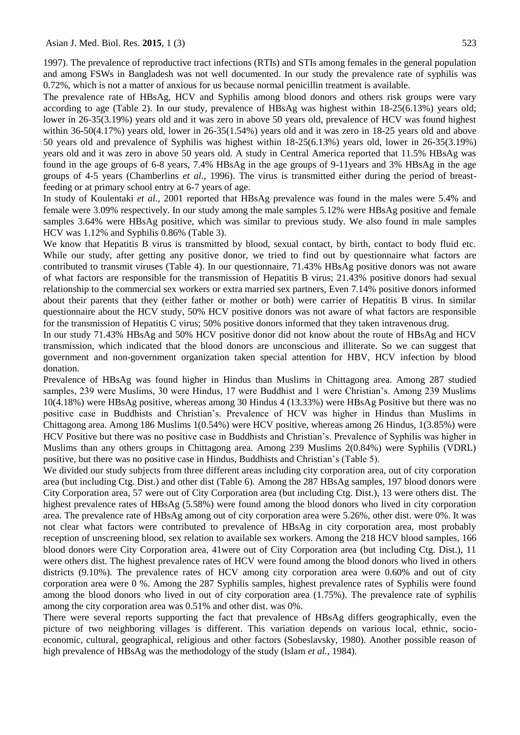1997). The prevalence of reproductive tract infections (RTIs) and STIs among females in the general population and among FSWs in Bangladesh was not well documented. In our study the prevalence rate of syphilis was 0.72%, which is not a matter of anxious for us because normal penicillin treatment is available.

The prevalence rate of HBsAg, HCV and Syphilis among blood donors and others risk groups were vary according to age (Table 2). In our study, prevalence of HBsAg was highest within 18-25(6.13%) years old; lower in 26-35(3.19%) years old and it was zero in above 50 years old, prevalence of HCV was found highest within 36-50(4.17%) years old, lower in 26-35(1.54%) years old and it was zero in 18-25 years old and above 50 years old and prevalence of Syphilis was highest within 18-25(6.13%) years old, lower in 26-35(3.19%) years old and it was zero in above 50 years old. A study in Central America reported that 11.5% HBsAg was found in the age groups of 6-8 years, 7.4% HBsAg in the age groups of 9-11years and 3% HBsAg in the age groups of 4-5 years (Chamberlins *et al.,* 1996). The virus is transmitted either during the period of breastfeeding or at primary school entry at 6-7 years of age.

In study of Koulentaki *et al.,* 2001 reported that HBsAg prevalence was found in the males were 5.4% and female were 3.09% respectively. In our study among the male samples 5.12% were HBsAg positive and female samples 3.64% were HBsAg positive, which was similar to previous study. We also found in male samples HCV was 1.12% and Syphilis 0.86% (Table 3).

We know that Hepatitis B virus is transmitted by blood, sexual contact, by birth, contact to body fluid etc. While our study, after getting any positive donor, we tried to find out by questionnaire what factors are contributed to transmit viruses (Table 4). In our questionnaire, 71.43% HBsAg positive donors was not aware of what factors are responsible for the transmission of Hepatitis B virus; 21.43% positive donors had sexual relationship to the commercial sex workers or extra married sex partners, Even 7.14% positive donors informed about their parents that they (either father or mother or both) were carrier of Hepatitis B virus. In similar questionnaire about the HCV study, 50% HCV positive donors was not aware of what factors are responsible for the transmission of Hepatitis C virus; 50% positive donors informed that they taken intravenous drug.

In our study 71.43% HBsAg and 50% HCV positive donor did not know about the route of HBsAg and HCV transmission, which indicated that the blood donors are unconscious and illiterate. So we can suggest that government and non-government organization taken special attention for HBV, HCV infection by blood donation.

Prevalence of HBsAg was found higher in Hindus than Muslims in Chittagong area. Among 287 studied samples, 239 were Muslims, 30 were Hindus, 17 were Buddhist and 1 were Christian's. Among 239 Muslims 10(4.18%) were HBsAg positive, whereas among 30 Hindus 4 (13.33%) were HBsAg Positive but there was no positive case in Buddhists and Christian's. Prevalence of HCV was higher in Hindus than Muslims in Chittagong area. Among 186 Muslims 1(0.54%) were HCV positive, whereas among 26 Hindus, 1(3.85%) were HCV Positive but there was no positive case in Buddhists and Christian's. Prevalence of Syphilis was higher in Muslims than any others groups in Chittagong area. Among 239 Muslims 2(0.84%) were Syphilis (VDRL) positive, but there was no positive case in Hindus, Buddhists and Christian's (Table 5).

We divided our study subjects from three different areas including city corporation area, out of city corporation area (but including Ctg. Dist.) and other dist (Table 6). Among the 287 HBsAg samples, 197 blood donors were City Corporation area, 57 were out of City Corporation area (but including Ctg. Dist.), 13 were others dist. The highest prevalence rates of HBsAg (5.58%) were found among the blood donors who lived in city corporation area. The prevalence rate of HBsAg among out of city corporation area were 5.26%, other dist. were 0%. It was not clear what factors were contributed to prevalence of HBsAg in city corporation area, most probably reception of unscreening blood, sex relation to available sex workers. Among the 218 HCV blood samples, 166 blood donors were City Corporation area, 41were out of City Corporation area (but including Ctg. Dist.), 11 were others dist. The highest prevalence rates of HCV were found among the blood donors who lived in others districts (9.10%). The prevalence rates of HCV among city corporation area were 0.60% and out of city corporation area were 0 %. Among the 287 Syphilis samples, highest prevalence rates of Syphilis were found among the blood donors who lived in out of city corporation area (1.75%). The prevalence rate of syphilis among the city corporation area was 0.51% and other dist. was 0%.

There were several reports supporting the fact that prevalence of HBsAg differs geographically, even the picture of two neighboring villages is different. This variation depends on various local, ethnic, socioeconomic, cultural, geographical, religious and other factors (Sobeslavsky, 1980). Another possible reason of high prevalence of HBsAg was the methodology of the study (Islam *et al.,* 1984).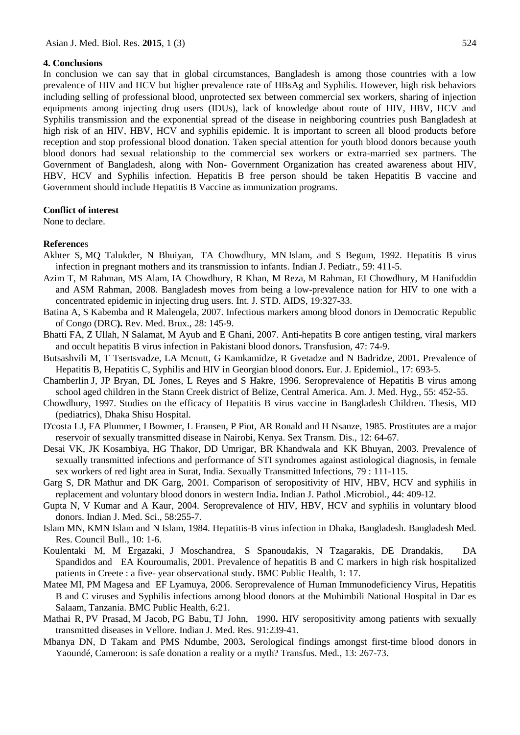#### **4. Conclusions**

In conclusion we can say that in global circumstances, Bangladesh is among those countries with a low prevalence of HIV and HCV but higher prevalence rate of HBsAg and Syphilis. However, high risk behaviors including selling of professional blood, unprotected sex between commercial sex workers, sharing of injection equipments among injecting drug users (IDUs), lack of knowledge about route of HIV, HBV, HCV and Syphilis transmission and the exponential spread of the disease in neighboring countries push Bangladesh at high risk of an HIV, HBV, HCV and syphilis epidemic. It is important to screen all blood products before reception and stop professional blood donation. Taken special attention for youth blood donors because youth blood donors had sexual relationship to the commercial sex workers or extra-married sex partners. The Government of Bangladesh, along with Non- Government Organization has created awareness about HIV, HBV, HCV and Syphilis infection. Hepatitis B free person should be taken Hepatitis B vaccine and Government should include Hepatitis B Vaccine as immunization programs.

## **Conflict of interest**

None to declare.

## **Reference**s

- [Akhter S](http://www.ncbi.nlm.nih.gov/pubmed/?term=Akhter%20S%5BAuthor%5D&cauthor=true&cauthor_uid=1452257), MQ [Talukder, N Bhuiyan,](http://www.ncbi.nlm.nih.gov/pubmed/?term=Talukder%20MQ%5BAuthor%5D&cauthor=true&cauthor_uid=1452257) TA [Chowdhury, M](http://www.ncbi.nlm.nih.gov/pubmed/?term=Chowdhury%20TA%5BAuthor%5D&cauthor=true&cauthor_uid=1452257)N [Islam, a](http://www.ncbi.nlm.nih.gov/pubmed/?term=Islam%20MN%5BAuthor%5D&cauthor=true&cauthor_uid=1452257)nd S [Begum, 1](http://www.ncbi.nlm.nih.gov/pubmed/?term=Begum%20S%5BAuthor%5D&cauthor=true&cauthor_uid=1452257)992. Hepatitis B virus infection in pregnant mothers and its transmission to infants. [Indian J. Pediatr.](http://www.ncbi.nlm.nih.gov/pubmed/1452257), 59: 411-5.
- Azim T, M Rahman, MS Alam, IA Chowdhury, R Khan, M Reza, M Rahman, EI Chowdhury, M Hanifuddin and ASM Rahman, 2008. Bangladesh moves from being a low-prevalence nation for HIV to one with a concentrated epidemic in injecting drug users. Int. J. STD. AIDS, 19:327-33.
- Batina A, S Kabemba and R Malengela, 2007. Infectious markers among blood donors in Democratic Republic of Congo (DRC**).** Rev. Med. Brux., 28: 145-9.
- Bhatti FA, Z Ullah, N Salamat, M Ayub and E Ghani, 2007. Anti-hepatits B core antigen testing, viral markers and occult hepatitis B virus infection in Pakistani blood donors**.** Transfusion, 47: 74-9.
- Butsashvili M, T Tsertsvadze, LA Mcnutt, G Kamkamidze, R Gvetadze and N Badridze, 2001**.** Prevalence of Hepatitis B, Hepatitis C, Syphilis and HIV in Georgian blood donors**.** Eur. J. Epidemiol., 17: 693-5.
- Chamberlin J, JP Bryan, DL Jones, L Reyes and S Hakre, 1996. Seroprevalence of Hepatitis B virus among school aged children in the Stann Creek district of Belize, Central America. Am. J. Med. Hyg., 55: 452-55.
- Chowdhury, 1997. Studies on the efficacy of Hepatitis B virus vaccine in Bangladesh Children. Thesis, MD (pediatrics), Dhaka Shisu Hospital.
- [D'costa LJ,](http://www.ncbi.nlm.nih.gov/pubmed/?term=D%27Costa%20LJ%5BAuthor%5D&cauthor=true&cauthor_uid=4002094) FA [Plummer, I](http://www.ncbi.nlm.nih.gov/pubmed/?term=Plummer%20FA%5BAuthor%5D&cauthor=true&cauthor_uid=4002094) [Bowmer, L](http://www.ncbi.nlm.nih.gov/pubmed/?term=Bowmer%20I%5BAuthor%5D&cauthor=true&cauthor_uid=4002094) [Fransen, P](http://www.ncbi.nlm.nih.gov/pubmed/?term=Fransen%20L%5BAuthor%5D&cauthor=true&cauthor_uid=4002094) [Piot, A](http://www.ncbi.nlm.nih.gov/pubmed/?term=Piot%20P%5BAuthor%5D&cauthor=true&cauthor_uid=4002094)R [Ronald a](http://www.ncbi.nlm.nih.gov/pubmed/?term=Ronald%20AR%5BAuthor%5D&cauthor=true&cauthor_uid=4002094)nd H [Nsanze, 1](http://www.ncbi.nlm.nih.gov/pubmed/?term=Nsanze%20H%5BAuthor%5D&cauthor=true&cauthor_uid=4002094)985. Prostitutes are a major reservoir of sexually transmitted disease in Nairobi, Kenya. Sex Transm. Dis., 12: 64-67.
- Desai VK, JK Kosambiya, HG Thakor, DD Umrigar, BR [Khandwala](http://sti.bmj.com/search?author1=B+R+Khandwala&sortspec=date&submit=Submit) and KK [Bhuyan,](http://sti.bmj.com/search?author1=K+K+Bhuyan&sortspec=date&submit=Submit) 2003. Prevalence of sexually transmitted infections and performance of STI syndromes against astiological diagnosis, in female sex workers of red light area in Surat, India. Sexually Transmitted Infections, 79 : 111-115.
- Garg S, DR Mathur and DK Garg, 2001. Comparison of seropositivity of HIV, HBV, HCV and syphilis in replacement and voluntary blood donors in western India**.** Indian J. Pathol .Microbiol., 44: 409-12.
- Gupta N, V Kumar and A Kaur, 2004. Seroprevalence of HIV, HBV, HCV and syphilis in voluntary blood donors. Indian J. Med. Sci., 58:255-7.
- Islam MN, KMN Islam and N Islam, 1984. Hepatitis-B virus infection in Dhaka, Bangladesh. Bangladesh Med. Res. Council Bull., 10: 1-6.
- [Koulentaki](http://www.ncbi.nlm.nih.gov/pubmed/?term=Koulentaki%20M%5Bauth%5D) [M, M Ergazaki,](http://www.ncbi.nlm.nih.gov/pubmed/?term=Ergazaki%20M%5Bauth%5D) J [Moschandrea,](http://www.ncbi.nlm.nih.gov/pubmed/?term=Moschandrea%20J%5Bauth%5D) S [Spanoudakis,](http://www.ncbi.nlm.nih.gov/pubmed/?term=Spanoudakis%20S%5Bauth%5D) N [Tzagarakis,](http://www.ncbi.nlm.nih.gov/pubmed/?term=Tzagarakis%20N%5Bauth%5D) DE [Drandakis,](http://www.ncbi.nlm.nih.gov/pubmed/?term=Drandakis%20PE%5Bauth%5D) [DA](http://www.ncbi.nlm.nih.gov/pubmed/?term=Spandidos%20DA%5Bauth%5D)  [Spandidos](http://www.ncbi.nlm.nih.gov/pubmed/?term=Spandidos%20DA%5Bauth%5D) and [EA Kouroumalis,](http://www.ncbi.nlm.nih.gov/pubmed/?term=Kouroumalis%20EA%5Bauth%5D) 2001. Prevalence of hepatitis B and C markers in high risk hospitalized patients in Creete : a five- year observational study. BMC Public Health, 1: 17.
- Matee MI, PM Magesa and EF Lyamuya, 2006. Seroprevalence of Human Immunodeficiency Virus, Hepatitis B and C viruses and Syphilis infections among blood donors at the Muhimbili National Hospital in Dar es Salaam, Tanzania. BMC Public Health, 6:21.
- [Mathai R,](http://www.ncbi.nlm.nih.gov/pubmed/?term=Mathai%20R%5BAuthor%5D&cauthor=true&cauthor_uid=2228049) PV [Prasad,](http://www.ncbi.nlm.nih.gov/pubmed/?term=Prasad%20PV%5BAuthor%5D&cauthor=true&cauthor_uid=2228049) M [Jacob,](http://www.ncbi.nlm.nih.gov/pubmed/?term=Jacob%20M%5BAuthor%5D&cauthor=true&cauthor_uid=2228049) PG [Babu,](http://www.ncbi.nlm.nih.gov/pubmed/?term=Babu%20PG%5BAuthor%5D&cauthor=true&cauthor_uid=2228049) TJ John, 1990**.** HIV seropositivity among patients with sexually transmitted diseases in Vellore. Indian J. Med. Res. 91:239-41.
- Mbanya DN, D Takam and PMS Ndumbe, 2003**.** Serological findings amongst first-time blood donors in Yaoundé, Cameroon: is safe donation a reality or a myth? Transfus. Med*.*, 13: 267-73.